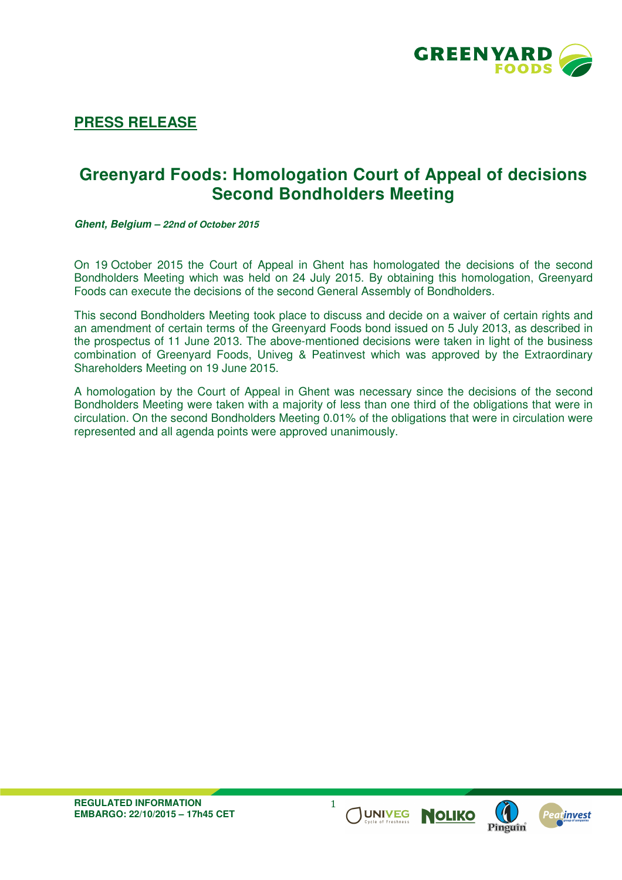

## **PRESS RELEASE**

## **Greenyard Foods: Homologation Court of Appeal of decisions Second Bondholders Meeting**

**Ghent, Belgium – 22nd of October 2015**

On 19 October 2015 the Court of Appeal in Ghent has homologated the decisions of the second Bondholders Meeting which was held on 24 July 2015. By obtaining this homologation, Greenyard Foods can execute the decisions of the second General Assembly of Bondholders.

This second Bondholders Meeting took place to discuss and decide on a waiver of certain rights and an amendment of certain terms of the Greenyard Foods bond issued on 5 July 2013, as described in the prospectus of 11 June 2013. The above-mentioned decisions were taken in light of the business combination of Greenyard Foods, Univeg & Peatinvest which was approved by the Extraordinary Shareholders Meeting on 19 June 2015.

A homologation by the Court of Appeal in Ghent was necessary since the decisions of the second Bondholders Meeting were taken with a majority of less than one third of the obligations that were in circulation. On the second Bondholders Meeting 0.01% of the obligations that were in circulation were represented and all agenda points were approved unanimously.

1